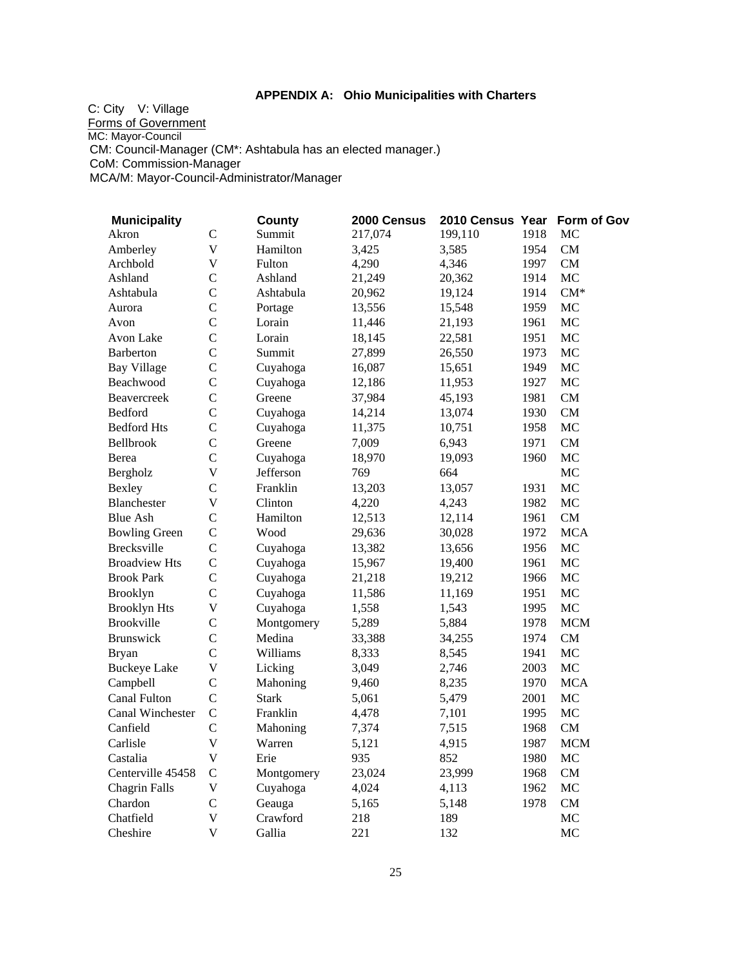## **APPENDIX A: Ohio Municipalities with Charters**

C: City V: Village Forms of Government MC: Mayor-Council CM: Council-Manager (CM\*: Ashtabula has an elected manager.) CoM: Commission-Manager MCA/M: Mayor-Council-Administrator/Manager

| <b>Municipality</b>  |                         | <b>County</b> | 2000 Census | 2010 Census Year Form of Gov |      |            |
|----------------------|-------------------------|---------------|-------------|------------------------------|------|------------|
| Akron                | $\mathcal{C}$           | Summit        | 217,074     | 199,110                      | 1918 | MC         |
| Amberley             | $\overline{\mathsf{V}}$ | Hamilton      | 3,425       | 3,585                        | 1954 | CM         |
| Archbold             | $\overline{\mathsf{V}}$ | Fulton        | 4,290       | 4,346                        | 1997 | CM         |
| Ashland              | $\overline{C}$          | Ashland       | 21,249      | 20,362                       | 1914 | MC         |
| Ashtabula            | $\overline{C}$          | Ashtabula     | 20,962      | 19,124                       | 1914 | $CM^*$     |
| Aurora               | $\overline{C}$          | Portage       | 13,556      | 15,548                       | 1959 | MC         |
| Avon                 | $\overline{C}$          | Lorain        | 11,446      | 21,193                       | 1961 | MC         |
| Avon Lake            | $\overline{C}$          | Lorain        | 18,145      | 22,581                       | 1951 | MC         |
| <b>Barberton</b>     | $\mathcal{C}$           | Summit        | 27,899      | 26,550                       | 1973 | MC         |
| <b>Bay Village</b>   | $\overline{C}$          | Cuyahoga      | 16,087      | 15,651                       | 1949 | MC         |
| Beachwood            | $\overline{C}$          | Cuyahoga      | 12,186      | 11,953                       | 1927 | MC         |
| <b>Beavercreek</b>   | $\overline{C}$          | Greene        | 37,984      | 45,193                       | 1981 | CM         |
| Bedford              | $\overline{C}$          | Cuyahoga      | 14,214      | 13,074                       | 1930 | CM         |
| <b>Bedford Hts</b>   | $\mathcal{C}$           | Cuyahoga      | 11,375      | 10,751                       | 1958 | <b>MC</b>  |
| <b>Bellbrook</b>     | $\mathcal{C}$           | Greene        | 7,009       | 6,943                        | 1971 | CM         |
| Berea                | $\overline{C}$          | Cuyahoga      | 18,970      | 19,093                       | 1960 | MC         |
| Bergholz             | $\overline{\mathsf{V}}$ | Jefferson     | 769         | 664                          |      | MC         |
| Bexley               | $\overline{C}$          | Franklin      | 13,203      | 13,057                       | 1931 | MC         |
| Blanchester          | $\overline{\mathsf{V}}$ | Clinton       | 4,220       | 4,243                        | 1982 | MC         |
| <b>Blue Ash</b>      | $\mathsf{C}$            | Hamilton      | 12,513      | 12,114                       | 1961 | CM         |
| <b>Bowling Green</b> | $\mathsf{C}$            | Wood          | 29,636      | 30,028                       | 1972 | <b>MCA</b> |
| <b>Brecksville</b>   | $\mathsf{C}$            | Cuyahoga      | 13,382      | 13,656                       | 1956 | MC         |
| <b>Broadview Hts</b> | $\mathsf{C}$            | Cuyahoga      | 15,967      | 19,400                       | 1961 | МC         |
| <b>Brook Park</b>    | $\overline{C}$          | Cuyahoga      | 21,218      | 19,212                       | 1966 | MC         |
| Brooklyn             | $\overline{C}$          | Cuyahoga      | 11,586      | 11,169                       | 1951 | $MC$       |
| <b>Brooklyn Hts</b>  | $\mathbf V$             | Cuyahoga      | 1,558       | 1,543                        | 1995 | MC         |
| <b>Brookville</b>    | $\mathsf{C}$            | Montgomery    | 5,289       | 5,884                        | 1978 | <b>MCM</b> |
| <b>Brunswick</b>     | $\mathcal{C}$           | Medina        | 33,388      | 34,255                       | 1974 | CM         |
| <b>Bryan</b>         | $\mathcal{C}$           | Williams      | 8,333       | 8,545                        | 1941 | MC         |
| <b>Buckeye Lake</b>  | $\mathbf V$             | Licking       | 3,049       | 2,746                        | 2003 | MC         |
| Campbell             | $\mathcal{C}$           | Mahoning      | 9,460       | 8,235                        | 1970 | <b>MCA</b> |
| Canal Fulton         | $\mathcal{C}$           | <b>Stark</b>  | 5,061       | 5,479                        | 2001 | MC         |
| Canal Winchester     | $\mathcal{C}$           | Franklin      | 4,478       | 7,101                        | 1995 | MC         |
| Canfield             | $\mathcal{C}$           | Mahoning      | 7,374       | 7,515                        | 1968 | CM         |
| Carlisle             | $\overline{\mathsf{V}}$ | Warren        | 5,121       | 4,915                        | 1987 | <b>MCM</b> |
| Castalia             | $\mathbf V$             | Erie          | 935         | 852                          | 1980 | MC         |
| Centerville 45458    | $\mathcal{C}$           | Montgomery    | 23,024      | 23,999                       | 1968 | CM         |
| <b>Chagrin Falls</b> | $\mathbf V$             | Cuyahoga      | 4,024       | 4,113                        | 1962 | MC         |
| Chardon              | $\mathcal{C}$           | Geauga        | 5,165       | 5,148                        | 1978 | ${\rm CM}$ |
| Chatfield            | $\overline{\mathsf{V}}$ | Crawford      | 218         | 189                          |      | <b>MC</b>  |
| Cheshire             | $\overline{\mathsf{V}}$ | Gallia        | 221         | 132                          |      | <b>MC</b>  |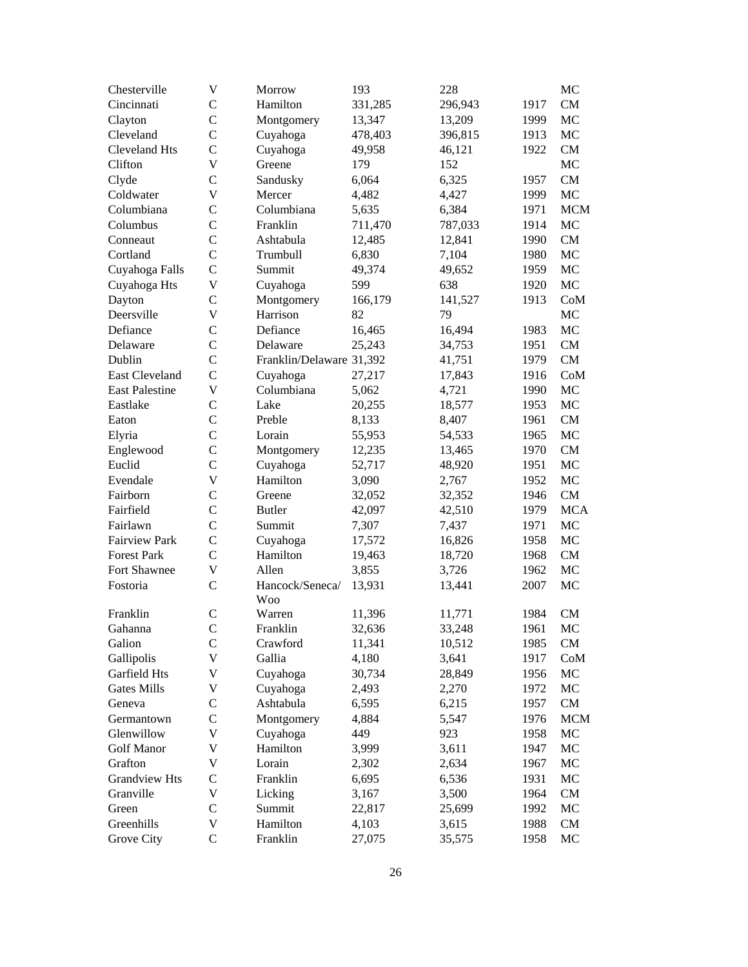| Chesterville          | V              | Morrow                   | 193     | 228     |      | MC         |
|-----------------------|----------------|--------------------------|---------|---------|------|------------|
| Cincinnati            | $\mathcal{C}$  | Hamilton                 | 331,285 | 296,943 | 1917 | CM         |
| Clayton               | $\mathcal{C}$  | Montgomery               | 13,347  | 13,209  | 1999 | MC         |
| Cleveland             | $\mathbf C$    | Cuyahoga                 | 478,403 | 396,815 | 1913 | MC         |
| <b>Cleveland Hts</b>  | $\mathcal{C}$  | Cuyahoga                 | 49,958  | 46,121  | 1922 | CM         |
| Clifton               | V              | Greene                   | 179     | 152     |      | MC         |
| Clyde                 | $\mathsf{C}$   | Sandusky                 | 6,064   | 6,325   | 1957 | CM         |
| Coldwater             | V              | Mercer                   | 4,482   | 4,427   | 1999 | MC         |
| Columbiana            | $\mathcal{C}$  | Columbiana               | 5,635   | 6,384   | 1971 | <b>MCM</b> |
| Columbus              | $\mathcal{C}$  | Franklin                 | 711,470 | 787,033 | 1914 | MC         |
| Conneaut              | $\mathbf C$    | Ashtabula                | 12,485  | 12,841  | 1990 | CM         |
| Cortland              | $\overline{C}$ | Trumbull                 | 6,830   | 7,104   | 1980 | MC         |
| Cuyahoga Falls        | $\mathcal{C}$  | Summit                   | 49,374  | 49,652  | 1959 | MC         |
| Cuyahoga Hts          | V              | Cuyahoga                 | 599     | 638     | 1920 | MC         |
| Dayton                | $\overline{C}$ | Montgomery               | 166,179 | 141,527 | 1913 | CoM        |
| Deersville            | V              | Harrison                 | 82      | 79      |      | MC         |
| Defiance              | $\mathsf{C}$   | Defiance                 | 16,465  | 16,494  | 1983 | MC         |
| Delaware              | $\mathsf{C}$   | Delaware                 | 25,243  | 34,753  | 1951 | CM         |
| Dublin                | $\mathbf C$    | Franklin/Delaware 31,392 |         | 41,751  | 1979 | CM         |
| East Cleveland        | $\mathcal{C}$  | Cuyahoga                 | 27,217  | 17,843  | 1916 | CoM        |
| <b>East Palestine</b> | V              | Columbiana               | 5,062   | 4,721   | 1990 | MC         |
| Eastlake              | $\mathcal{C}$  | Lake                     | 20,255  | 18,577  | 1953 | MC         |
| Eaton                 | $\mathcal{C}$  | Preble                   | 8,133   | 8,407   | 1961 | CM         |
| Elyria                | $\mathcal{C}$  | Lorain                   | 55,953  | 54,533  | 1965 | MC         |
| Englewood             | $\mathcal{C}$  | Montgomery               | 12,235  | 13,465  | 1970 | CM         |
| Euclid                | $\mathcal{C}$  | Cuyahoga                 | 52,717  | 48,920  | 1951 | MC         |
| Evendale              | V              | Hamilton                 | 3,090   | 2,767   | 1952 | MC         |
| Fairborn              | $\mathsf{C}$   | Greene                   | 32,052  | 32,352  | 1946 | CM         |
| Fairfield             | $\mathcal{C}$  | <b>Butler</b>            | 42,097  | 42,510  | 1979 | <b>MCA</b> |
| Fairlawn              | $\overline{C}$ | Summit                   | 7,307   | 7,437   | 1971 | MC         |
| <b>Fairview Park</b>  | $\mathsf{C}$   | Cuyahoga                 | 17,572  | 16,826  | 1958 | MC         |
| <b>Forest Park</b>    | $\mathcal{C}$  | Hamilton                 | 19,463  | 18,720  | 1968 | CM         |
| Fort Shawnee          | $\mathbf V$    | Allen                    | 3,855   | 3,726   | 1962 | MC         |
| Fostoria              | $\mathcal{C}$  | Hancock/Seneca/          | 13,931  | 13,441  | 2007 | MC         |
|                       |                | <b>Woo</b>               |         |         |      |            |
| Franklin              | $\mathsf{C}$   | Warren                   | 11,396  | 11,771  | 1984 | <b>CM</b>  |
| Gahanna               | $\mathbf C$    | Franklin                 | 32,636  | 33,248  | 1961 | MC         |
| Galion                | $\mathsf{C}$   | Crawford                 | 11,341  | 10,512  | 1985 | <b>CM</b>  |
| Gallipolis            | V              | Gallia                   | 4,180   | 3,641   | 1917 | CoM        |
| Garfield Hts          | V              | Cuyahoga                 | 30,734  | 28,849  | 1956 | MC         |
| <b>Gates Mills</b>    | V              | Cuyahoga                 | 2,493   | 2,270   | 1972 | MC         |
| Geneva                | $\mathcal{C}$  | Ashtabula                | 6,595   | 6,215   | 1957 | CM         |
| Germantown            | $\mathcal{C}$  | Montgomery               | 4,884   | 5,547   | 1976 | <b>MCM</b> |
| Glenwillow            | $\mathbf V$    | Cuyahoga                 | 449     | 923     | 1958 | MC         |
| Golf Manor            | V              | Hamilton                 | 3,999   | 3,611   | 1947 | MC         |
| Grafton               | V              | Lorain                   | 2,302   | 2,634   | 1967 | MC         |
| <b>Grandview Hts</b>  | $\mathcal{C}$  | Franklin                 | 6,695   | 6,536   | 1931 | MC         |
| Granville             | $\mathbf V$    | Licking                  | 3,167   | 3,500   | 1964 | CM         |
| Green                 | $\mathcal{C}$  | Summit                   | 22,817  | 25,699  | 1992 | MC         |
| Greenhills            | V              | Hamilton                 | 4,103   | 3,615   | 1988 | CM         |
| Grove City            | $\mathsf C$    | Franklin                 | 27,075  | 35,575  | 1958 | MC         |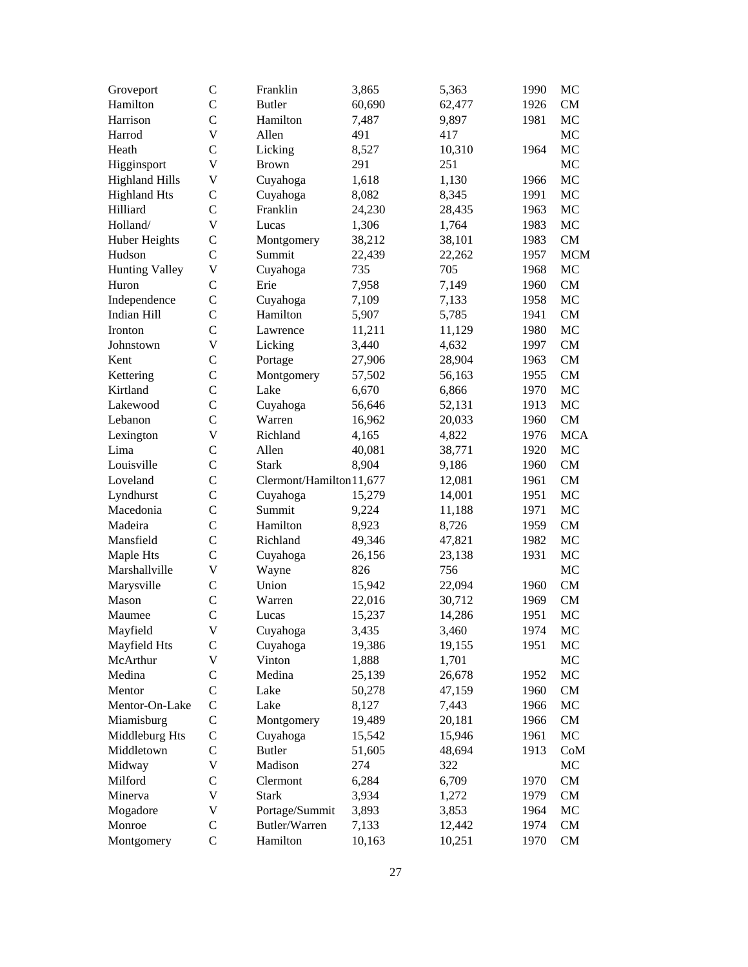| Groveport             | C                             | Franklin                 | 3,865           | 5,363  | 1990 | MC         |
|-----------------------|-------------------------------|--------------------------|-----------------|--------|------|------------|
| Hamilton              | $\mathcal{C}$                 | <b>Butler</b>            | 60,690          | 62,477 | 1926 | CM         |
| Harrison              | $\mathcal{C}$                 | Hamilton                 | 7,487           | 9,897  | 1981 | MC         |
| Harrod                | V                             | Allen                    | 491             | 417    |      | MC         |
| Heath                 | $\mathcal{C}$                 | Licking                  | 8,527           | 10,310 | 1964 | MC         |
| Higginsport           | V                             | <b>Brown</b>             | 291             | 251    |      | MC         |
| <b>Highland Hills</b> | $\mathbf V$                   | Cuyahoga                 | 1,618           | 1,130  | 1966 | MC         |
| <b>Highland Hts</b>   | $\mathsf{C}$                  | Cuyahoga                 | 8,082           | 8,345  | 1991 | MC         |
| Hilliard              | $\mathsf{C}$                  | Franklin                 | 24,230          | 28,435 | 1963 | MC         |
| Holland/              | V                             | Lucas                    | 1,306           | 1,764  | 1983 | MC         |
| Huber Heights         | $\mathbf C$                   | Montgomery               | 38,212          | 38,101 | 1983 | CM         |
| Hudson                | $\overline{C}$                | Summit                   | 22,439          | 22,262 | 1957 | <b>MCM</b> |
| <b>Hunting Valley</b> | V                             | Cuyahoga                 | 735             | 705    | 1968 | MC         |
| Huron                 | $\mathcal{C}$                 | Erie                     | 7,958           | 7,149  | 1960 | CM         |
| Independence          | $\mathsf{C}$                  | Cuyahoga                 | 7,109           | 7,133  | 1958 | MC         |
| Indian Hill           | $\mathcal{C}$                 | Hamilton                 | 5,907           | 5,785  | 1941 | CM         |
| Ironton               | $\overline{C}$                | Lawrence                 | 11,211          | 11,129 | 1980 | MC         |
| Johnstown             | V                             | Licking                  | 3,440           | 4,632  | 1997 | CM         |
| Kent                  | $\mathcal{C}$                 | Portage                  | 27,906          | 28,904 | 1963 | CM         |
|                       | $\mathsf{C}$                  | Montgomery               |                 |        | 1955 | CM         |
| Kettering<br>Kirtland | $\overline{C}$                | Lake                     | 57,502<br>6,670 | 56,163 |      | MC         |
|                       |                               |                          |                 | 6,866  | 1970 |            |
| Lakewood              | $\mathsf{C}$<br>$\mathcal{C}$ | Cuyahoga                 | 56,646          | 52,131 | 1913 | MC<br>CM   |
| Lebanon               |                               | Warren                   | 16,962          | 20,033 | 1960 |            |
| Lexington             | V                             | Richland                 | 4,165           | 4,822  | 1976 | <b>MCA</b> |
| Lima                  | $\mathsf{C}$                  | Allen                    | 40,081          | 38,771 | 1920 | MC         |
| Louisville            | $\mathsf{C}$                  | <b>Stark</b>             | 8,904           | 9,186  | 1960 | CM         |
| Loveland              | $\mathsf{C}$                  | Clermont/Hamilton 11,677 |                 | 12,081 | 1961 | CM         |
| Lyndhurst             | $\mathsf{C}$                  | Cuyahoga                 | 15,279          | 14,001 | 1951 | MC         |
| Macedonia             | $\mathcal{C}$                 | Summit                   | 9,224           | 11,188 | 1971 | MC         |
| Madeira               | $\mathcal{C}$                 | Hamilton                 | 8,923           | 8,726  | 1959 | CM         |
| Mansfield             | $\mathcal{C}$                 | Richland                 | 49,346          | 47,821 | 1982 | MC         |
| Maple Hts             | $\mathcal{C}$                 | Cuyahoga                 | 26,156          | 23,138 | 1931 | MC         |
| Marshallville         | $\mathbf V$                   | Wayne                    | 826             | 756    |      | MC         |
| Marysville            | $\mathsf{C}$                  | Union                    | 15,942          | 22,094 | 1960 | CM         |
| Mason                 | $\mathsf{C}$                  | Warren                   | 22,016          | 30,712 | 1969 | CM         |
| Maumee                | $\mathbf C$                   | Lucas                    | 15,237          | 14,286 | 1951 | MC         |
| Mayfield              | $\mathbf V$                   | Cuyahoga                 | 3,435           | 3,460  | 1974 | MC         |
| Mayfield Hts          | $\mathcal{C}$                 | Cuyahoga                 | 19,386          | 19,155 | 1951 | MC         |
| McArthur              | $\mathbf V$                   | Vinton                   | 1,888           | 1,701  |      | MC         |
| Medina                | $\mathsf{C}$                  | Medina                   | 25,139          | 26,678 | 1952 | MC         |
| Mentor                | $\overline{C}$                | Lake                     | 50,278          | 47,159 | 1960 | CM         |
| Mentor-On-Lake        | $\mathsf{C}$                  | Lake                     | 8,127           | 7,443  | 1966 | MC         |
| Miamisburg            | $\mathsf{C}$                  | Montgomery               | 19,489          | 20,181 | 1966 | CM         |
| Middleburg Hts        | $\mathsf{C}$                  | Cuyahoga                 | 15,542          | 15,946 | 1961 | MC         |
| Middletown            | $\mathsf{C}$                  | <b>Butler</b>            | 51,605          | 48,694 | 1913 | CoM        |
| Midway                | V                             | Madison                  | 274             | 322    |      | MC         |
| Milford               | $\mathsf{C}$                  | Clermont                 | 6,284           | 6,709  | 1970 | CM         |
| Minerva               | $\mathbf V$                   | <b>Stark</b>             | 3,934           | 1,272  | 1979 | CM         |
| Mogadore              | V                             | Portage/Summit           | 3,893           | 3,853  | 1964 | MC         |
| Monroe                | $\mathsf{C}$                  | Butler/Warren            | 7,133           | 12,442 | 1974 | CM         |
| Montgomery            | $\mathsf{C}$                  | Hamilton                 | 10,163          | 10,251 | 1970 | CM         |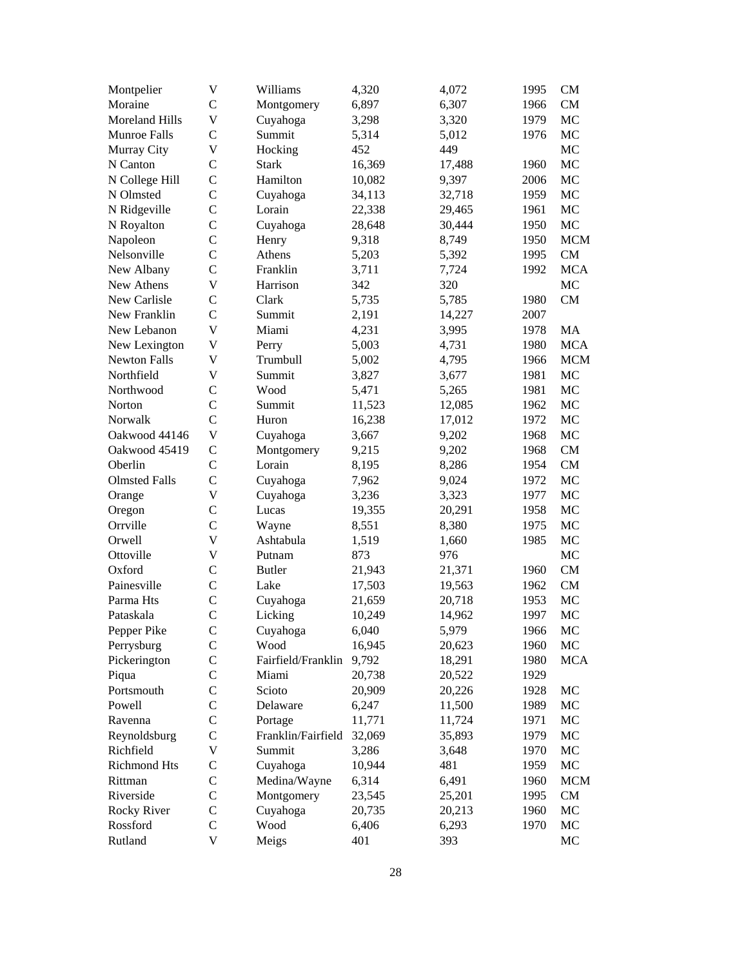| Montpelier            | $\mathbf V$    | Williams             | 4,320  | 4,072  | 1995 | <b>CM</b>  |
|-----------------------|----------------|----------------------|--------|--------|------|------------|
| Moraine               | $\mathcal{C}$  | Montgomery           | 6,897  | 6,307  | 1966 | CM         |
| <b>Moreland Hills</b> | V              | Cuyahoga             | 3,298  | 3,320  | 1979 | MC         |
| Munroe Falls          | $\mathsf{C}$   | Summit               | 5,314  | 5,012  | 1976 | MC         |
| Murray City           | V              | Hocking              | 452    | 449    |      | MC         |
| N Canton              | $\mathsf{C}$   | <b>Stark</b>         | 16,369 | 17,488 | 1960 | MC         |
| N College Hill        | $\overline{C}$ | Hamilton             | 10,082 | 9,397  | 2006 | MC         |
| N Olmsted             | $\mathcal{C}$  | Cuyahoga             | 34,113 | 32,718 | 1959 | MC         |
| N Ridgeville          | $\mathcal{C}$  | Lorain               | 22,338 | 29,465 | 1961 | MC         |
| N Royalton            | $\mathsf{C}$   | Cuyahoga             | 28,648 | 30,444 | 1950 | MC         |
| Napoleon              | $\mathcal{C}$  | Henry                | 9,318  | 8,749  | 1950 | <b>MCM</b> |
| Nelsonville           | $\mathsf{C}$   | Athens               | 5,203  | 5,392  | 1995 | CM         |
| New Albany            | $\mathsf{C}$   | Franklin             | 3,711  | 7,724  | 1992 | <b>MCA</b> |
| New Athens            | V              | Harrison             | 342    | 320    |      | MC         |
| New Carlisle          | $\mathsf{C}$   | Clark                | 5,735  | 5,785  | 1980 | CM         |
| New Franklin          | $\mathcal{C}$  | Summit               | 2,191  | 14,227 | 2007 |            |
| New Lebanon           | $\mathbf V$    | Miami                | 4,231  | 3,995  | 1978 | MA         |
| New Lexington         | $\mathbf V$    | Perry                | 5,003  | 4,731  | 1980 | <b>MCA</b> |
| <b>Newton Falls</b>   | $\mathbf V$    | Trumbull             | 5,002  | 4,795  | 1966 | <b>MCM</b> |
| Northfield            | V              | Summit               | 3,827  | 3,677  | 1981 | MC         |
| Northwood             | $\mathsf{C}$   | Wood                 | 5,471  | 5,265  | 1981 | MC         |
| Norton                | $\mathcal{C}$  | Summit               | 11,523 | 12,085 | 1962 | MC         |
| Norwalk               | $\mathcal{C}$  | Huron                | 16,238 | 17,012 | 1972 | MC         |
| Oakwood 44146         | V              | Cuyahoga             | 3,667  | 9,202  | 1968 | MC         |
| Oakwood 45419         | $\mathsf{C}$   |                      |        | 9,202  | 1968 | CM         |
| Oberlin               | $\mathcal{C}$  | Montgomery<br>Lorain | 9,215  |        |      | CM         |
| <b>Olmsted Falls</b>  | $\mathcal{C}$  |                      | 8,195  | 8,286  | 1954 | MC         |
|                       | $\mathbf V$    | Cuyahoga             | 7,962  | 9,024  | 1972 | MC         |
| Orange                | $\mathsf{C}$   | Cuyahoga             | 3,236  | 3,323  | 1977 | MC         |
| Oregon                |                | Lucas                | 19,355 | 20,291 | 1958 |            |
| Orrville              | $\mathsf{C}$   | Wayne                | 8,551  | 8,380  | 1975 | MC         |
| Orwell                | V              | Ashtabula            | 1,519  | 1,660  | 1985 | MC         |
| Ottoville             | $\mathbf V$    | Putnam               | 873    | 976    |      | MC         |
| Oxford                | $\mathsf{C}$   | <b>Butler</b>        | 21,943 | 21,371 | 1960 | CM         |
| Painesville           | $\mathsf{C}$   | Lake                 | 17,503 | 19,563 | 1962 | CM         |
| Parma Hts             | $\mathsf{C}$   | Cuyahoga             | 21,659 | 20,718 | 1953 | MC         |
| Pataskala             | $\mathsf{C}$   | Licking              | 10,249 | 14,962 | 1997 | MC         |
| Pepper Pike           | $\mathbf C$    | Cuyahoga             | 6,040  | 5,979  | 1966 | MC         |
| Perrysburg            | $\mathsf{C}$   | Wood                 | 16,945 | 20,623 | 1960 | MC         |
| Pickerington          | $\mathsf{C}$   | Fairfield/Franklin   | 9,792  | 18,291 | 1980 | <b>MCA</b> |
| Piqua                 | $\mathsf{C}$   | Miami                | 20,738 | 20,522 | 1929 |            |
| Portsmouth            | $\mathsf{C}$   | Scioto               | 20,909 | 20,226 | 1928 | MC         |
| Powell                | $\mathsf{C}$   | Delaware             | 6,247  | 11,500 | 1989 | MC         |
| Ravenna               | $\mathsf{C}$   | Portage              | 11,771 | 11,724 | 1971 | MC         |
| Reynoldsburg          | $\mathsf{C}$   | Franklin/Fairfield   | 32,069 | 35,893 | 1979 | MC         |
| Richfield             | V              | Summit               | 3,286  | 3,648  | 1970 | MC         |
| <b>Richmond Hts</b>   | $\mathsf{C}$   | Cuyahoga             | 10,944 | 481    | 1959 | MC         |
| Rittman               | $\mathsf{C}$   | Medina/Wayne         | 6,314  | 6,491  | 1960 | <b>MCM</b> |
| Riverside             | $\mathsf{C}$   | Montgomery           | 23,545 | 25,201 | 1995 | CM         |
| Rocky River           | C              | Cuyahoga             | 20,735 | 20,213 | 1960 | MC         |
| Rossford              | $\mathsf{C}$   | Wood                 | 6,406  | 6,293  | 1970 | MC         |
| Rutland               | $\mathbf V$    | Meigs                | 401    | 393    |      | $\rm MC$   |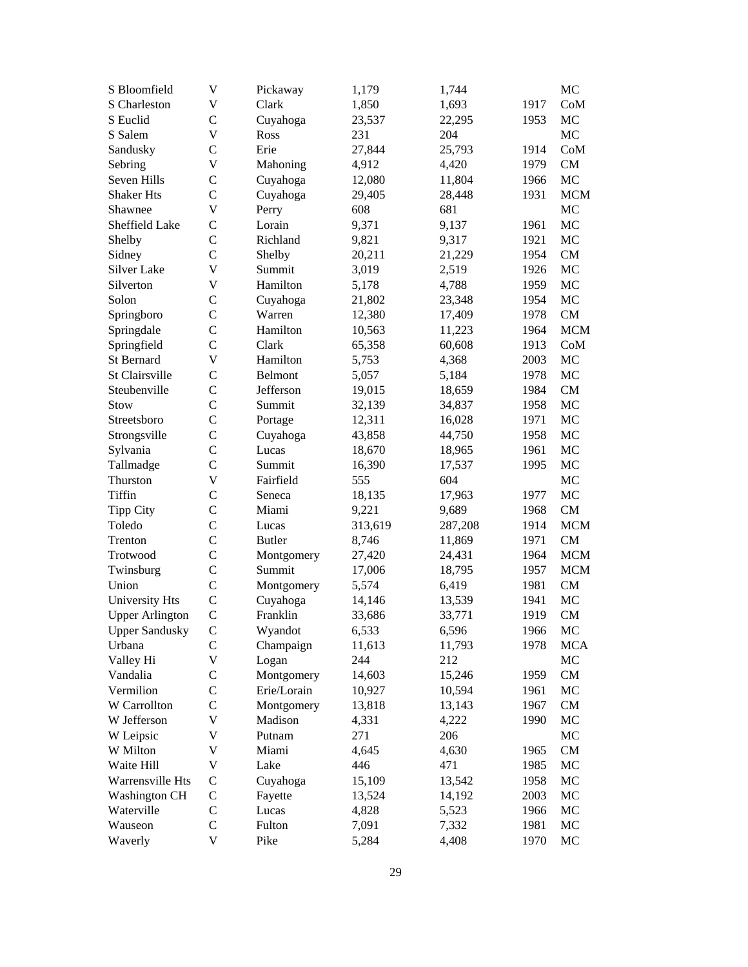| S Bloomfield           | V             | Pickaway      | 1,179   | 1,744   |      | MC         |
|------------------------|---------------|---------------|---------|---------|------|------------|
| S Charleston           | V             | Clark         | 1,850   | 1,693   | 1917 | CoM        |
| S Euclid               | $\mathsf{C}$  | Cuyahoga      | 23,537  | 22,295  | 1953 | MC         |
| S Salem                | V             | Ross          | 231     | 204     |      | MC         |
| Sandusky               | $\mathcal{C}$ | Erie          | 27,844  | 25,793  | 1914 | CoM        |
| Sebring                | V             | Mahoning      | 4,912   | 4,420   | 1979 | CM         |
| Seven Hills            | $\mathsf{C}$  | Cuyahoga      | 12,080  | 11,804  | 1966 | MC         |
| <b>Shaker Hts</b>      | $\mathsf{C}$  | Cuyahoga      | 29,405  | 28,448  | 1931 | <b>MCM</b> |
| Shawnee                | V             | Perry         | 608     | 681     |      | MC         |
| Sheffield Lake         | $\mathsf{C}$  | Lorain        | 9,371   | 9,137   | 1961 | MC         |
| Shelby                 | $\mathcal{C}$ | Richland      | 9,821   | 9,317   | 1921 | MC         |
| Sidney                 | $\mathcal{C}$ | Shelby        | 20,211  | 21,229  | 1954 | CM         |
| Silver Lake            | V             | Summit        | 3,019   | 2,519   | 1926 | MC         |
| Silverton              | V             | Hamilton      | 5,178   | 4,788   | 1959 | MC         |
| Solon                  | $\mathcal{C}$ | Cuyahoga      | 21,802  | 23,348  | 1954 | MC         |
| Springboro             | $\mathcal{C}$ | Warren        | 12,380  | 17,409  | 1978 | ${\rm CM}$ |
| Springdale             | $\mathsf{C}$  | Hamilton      | 10,563  | 11,223  | 1964 | <b>MCM</b> |
| Springfield            | $\mathcal{C}$ | Clark         | 65,358  | 60,608  | 1913 | CoM        |
| St Bernard             | V             | Hamilton      | 5,753   | 4,368   | 2003 | MC         |
| St Clairsville         | $\mathsf{C}$  | Belmont       | 5,057   | 5,184   | 1978 | MC         |
| Steubenville           | $\mathcal{C}$ | Jefferson     | 19,015  | 18,659  | 1984 | CM         |
| Stow                   | $\mathcal{C}$ | Summit        | 32,139  | 34,837  | 1958 | MC         |
| Streetsboro            | $\mathcal{C}$ | Portage       | 12,311  | 16,028  | 1971 | MC         |
| Strongsville           | $\mathsf{C}$  | Cuyahoga      | 43,858  | 44,750  | 1958 | MC         |
| Sylvania               | $\mathsf{C}$  | Lucas         | 18,670  | 18,965  | 1961 | MC         |
| Tallmadge              | $\mathcal{C}$ | Summit        | 16,390  | 17,537  | 1995 | MC         |
| Thurston               | V             | Fairfield     | 555     | 604     |      | MC         |
| Tiffin                 | $\mathsf{C}$  | Seneca        | 18,135  | 17,963  | 1977 | MC         |
| Tipp City              | $\mathsf{C}$  | Miami         | 9,221   | 9,689   | 1968 | CM         |
| Toledo                 | $\mathcal{C}$ | Lucas         | 313,619 | 287,208 | 1914 | <b>MCM</b> |
| Trenton                | $\mathcal{C}$ | <b>Butler</b> | 8,746   | 11,869  | 1971 | CM         |
| Trotwood               | $\mathcal{C}$ | Montgomery    | 27,420  | 24,431  | 1964 | <b>MCM</b> |
| Twinsburg              | $\mathsf{C}$  | Summit        | 17,006  | 18,795  | 1957 | <b>MCM</b> |
| Union                  | $\mathcal{C}$ | Montgomery    | 5,574   | 6,419   | 1981 | CM         |
| University Hts         | $\mathcal{C}$ | Cuyahoga      | 14,146  | 13,539  | 1941 | MC         |
| <b>Upper Arlington</b> | $\mathbf C$   | Franklin      | 33,686  | 33,771  | 1919 | CM         |
| <b>Upper Sandusky</b>  | $\mathbf C$   | Wyandot       | 6,533   | 6,596   | 1966 | MC         |
| Urbana                 | $\mathsf{C}$  | Champaign     | 11,613  | 11,793  | 1978 | <b>MCA</b> |
| Valley Hi              | V             | Logan         | 244     | 212     |      | MC         |
| Vandalia               | C             | Montgomery    | 14,603  | 15,246  | 1959 | CM         |
| Vermilion              | $\mathsf{C}$  | Erie/Lorain   | 10,927  | 10,594  | 1961 | MC         |
| W Carrollton           | $\mathsf{C}$  | Montgomery    | 13,818  | 13,143  | 1967 | CM         |
| W Jefferson            | V             | Madison       | 4,331   | 4,222   | 1990 | MC         |
| W Leipsic              | V             | Putnam        | 271     | 206     |      | MC         |
| W Milton               | V             | Miami         | 4,645   | 4,630   | 1965 | CM         |
| Waite Hill             | V             | Lake          | 446     | 471     | 1985 | MC         |
| Warrensville Hts       | $\mathsf{C}$  | Cuyahoga      | 15,109  | 13,542  | 1958 | MC         |
| <b>Washington CH</b>   | $\mathsf C$   | Fayette       | 13,524  | 14,192  | 2003 | MC         |
| Waterville             | $\mathsf C$   | Lucas         | 4,828   | 5,523   | 1966 | MC         |
| Wauseon                | $\mathsf{C}$  | Fulton        | 7,091   | 7,332   | 1981 | MC         |
| Waverly                | V             | Pike          | 5,284   | 4,408   | 1970 | MC         |
|                        |               |               |         |         |      |            |